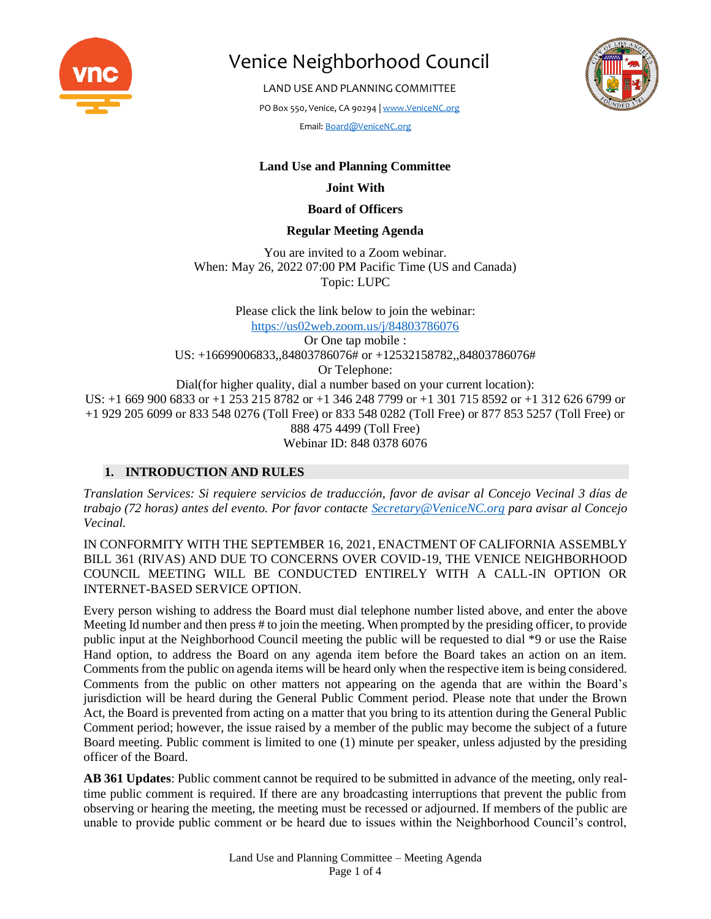

LAND USE AND PLANNING COMMITTEE

PO Box 550, Venice, CA 90294 [| www.VeniceNC.org](http://www.venicenc.org/)

Email[: Board@VeniceNC.org](mailto:Board@VeniceNC.org)



# **Land Use and Planning Committee**

#### **Joint With**

#### **Board of Officers**

### **Regular Meeting Agenda**

You are invited to a Zoom webinar. When: May 26, 2022 07:00 PM Pacific Time (US and Canada) Topic: LUPC

Please click the link below to join the webinar: <https://us02web.zoom.us/j/84803786076> Or One tap mobile : US: +16699006833,,84803786076# or +12532158782,,84803786076# Or Telephone: Dial(for higher quality, dial a number based on your current location): US: +1 669 900 6833 or +1 253 215 8782 or +1 346 248 7799 or +1 301 715 8592 or +1 312 626 6799 or +1 929 205 6099 or 833 548 0276 (Toll Free) or 833 548 0282 (Toll Free) or 877 853 5257 (Toll Free) or 888 475 4499 (Toll Free) Webinar ID: 848 0378 6076

# **1. INTRODUCTION AND RULES**

*Translation Services: Si requiere servicios de traducción, favor de avisar al Concejo Vecinal 3 días de trabajo (72 horas) antes del evento. Por favor contacte [Secretary@VeniceNC.org](mailto:Secretary@VeniceNC.org) para avisar al Concejo Vecinal.*

IN CONFORMITY WITH THE SEPTEMBER 16, 2021, ENACTMENT OF CALIFORNIA ASSEMBLY BILL 361 (RIVAS) AND DUE TO CONCERNS OVER COVID-19, THE VENICE NEIGHBORHOOD COUNCIL MEETING WILL BE CONDUCTED ENTIRELY WITH A CALL-IN OPTION OR INTERNET-BASED SERVICE OPTION.

Every person wishing to address the Board must dial telephone number listed above, and enter the above Meeting Id number and then press # to join the meeting. When prompted by the presiding officer, to provide public input at the Neighborhood Council meeting the public will be requested to dial \*9 or use the Raise Hand option, to address the Board on any agenda item before the Board takes an action on an item. Comments from the public on agenda items will be heard only when the respective item is being considered. Comments from the public on other matters not appearing on the agenda that are within the Board's jurisdiction will be heard during the General Public Comment period. Please note that under the Brown Act, the Board is prevented from acting on a matter that you bring to its attention during the General Public Comment period; however, the issue raised by a member of the public may become the subject of a future Board meeting. Public comment is limited to one (1) minute per speaker, unless adjusted by the presiding officer of the Board.

**AB 361 Updates**: Public comment cannot be required to be submitted in advance of the meeting, only realtime public comment is required. If there are any broadcasting interruptions that prevent the public from observing or hearing the meeting, the meeting must be recessed or adjourned. If members of the public are unable to provide public comment or be heard due to issues within the Neighborhood Council's control,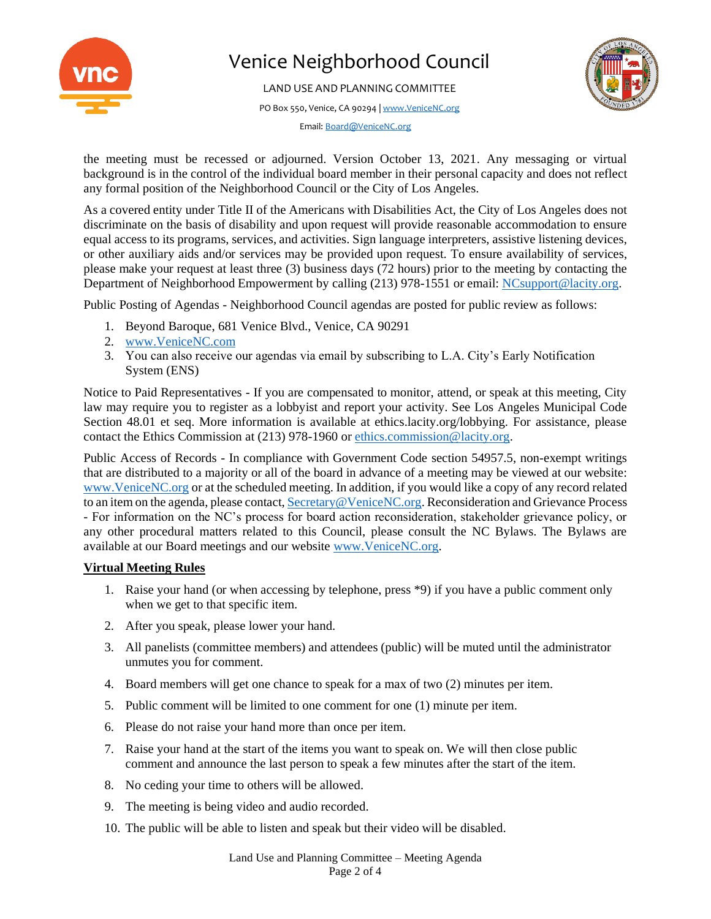

LAND USE AND PLANNING COMMITTEE

PO Box 550, Venice, CA 90294 [| www.VeniceNC.org](http://www.venicenc.org/)



Email[: Board@VeniceNC.org](mailto:Board@VeniceNC.org)

the meeting must be recessed or adjourned. Version October 13, 2021. Any messaging or virtual background is in the control of the individual board member in their personal capacity and does not reflect any formal position of the Neighborhood Council or the City of Los Angeles.

As a covered entity under Title II of the Americans with Disabilities Act, the City of Los Angeles does not discriminate on the basis of disability and upon request will provide reasonable accommodation to ensure equal access to its programs, services, and activities. Sign language interpreters, assistive listening devices, or other auxiliary aids and/or services may be provided upon request. To ensure availability of services, please make your request at least three (3) business days (72 hours) prior to the meeting by contacting the Department of Neighborhood Empowerment by calling (213) 978-1551 or email: [NCsupport@lacity.org.](mailto:NCsupport@lacity.org)

Public Posting of Agendas - Neighborhood Council agendas are posted for public review as follows:

- 1. Beyond Baroque, 681 Venice Blvd., Venice, CA 90291
- 2. [www.VeniceNC.com](http://www.venicenc.com/)
- 3. You can also receive our agendas via email by subscribing to L.A. City's Early Notification System (ENS)

Notice to Paid Representatives - If you are compensated to monitor, attend, or speak at this meeting, City law may require you to register as a lobbyist and report your activity. See Los Angeles Municipal Code Section 48.01 et seq. More information is available at ethics.lacity.org/lobbying. For assistance, please contact the Ethics Commission at (213) 978-1960 o[r ethics.commission@lacity.org.](mailto:ethics.commission@lacity.org)

Public Access of Records - In compliance with Government Code section 54957.5, non-exempt writings that are distributed to a majority or all of the board in advance of a meeting may be viewed at our website: [www.VeniceNC.org](http://www.venicenc.org/) or at the scheduled meeting. In addition, if you would like a copy of any record related to an item on the agenda, please contact[, Secretary@VeniceNC.org.](mailto:Secretary@VeniceNC.org) Reconsideration and Grievance Process - For information on the NC's process for board action reconsideration, stakeholder grievance policy, or any other procedural matters related to this Council, please consult the NC Bylaws. The Bylaws are available at our Board meetings and our website [www.VeniceNC.org.](http://www.venicenc.org/)

# **Virtual Meeting Rules**

- 1. Raise your hand (or when accessing by telephone, press \*9) if you have a public comment only when we get to that specific item.
- 2. After you speak, please lower your hand.
- 3. All panelists (committee members) and attendees (public) will be muted until the administrator unmutes you for comment.
- 4. Board members will get one chance to speak for a max of two (2) minutes per item.
- 5. Public comment will be limited to one comment for one (1) minute per item.
- 6. Please do not raise your hand more than once per item.
- 7. Raise your hand at the start of the items you want to speak on. We will then close public comment and announce the last person to speak a few minutes after the start of the item.
- 8. No ceding your time to others will be allowed.
- 9. The meeting is being video and audio recorded.
- 10. The public will be able to listen and speak but their video will be disabled.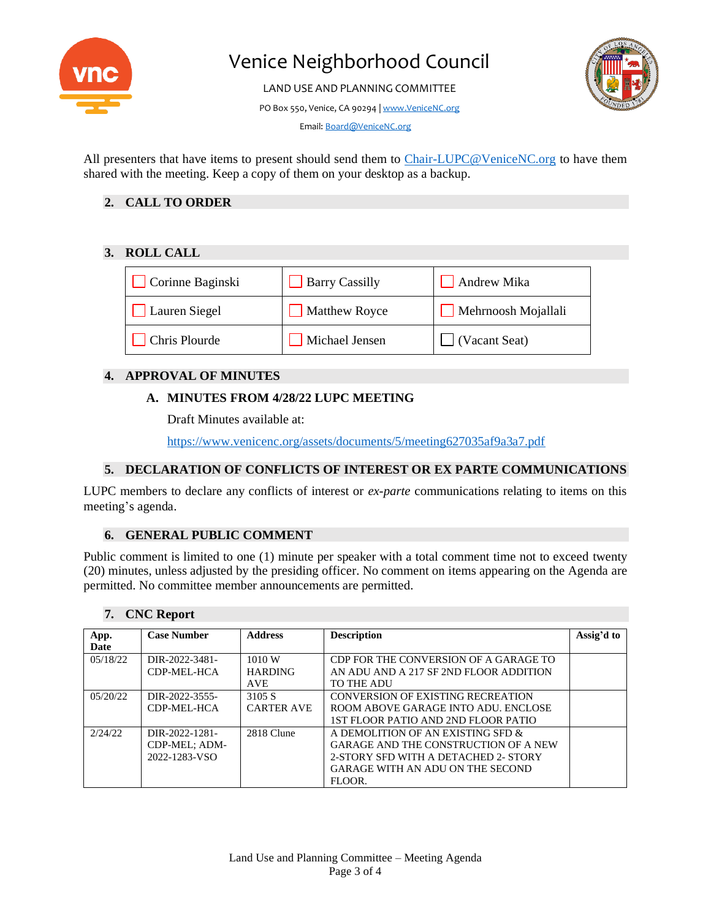

LAND USE AND PLANNING COMMITTEE

PO Box 550, Venice, CA 90294 [| www.VeniceNC.org](http://www.venicenc.org/)



Email[: Board@VeniceNC.org](mailto:Board@VeniceNC.org)

All presenters that have items to present should send them to [Chair-LUPC@VeniceNC.org](mailto:Chair-LUPC@VeniceNC.org) to have them shared with the meeting. Keep a copy of them on your desktop as a backup.

# **2. CALL TO ORDER**

### **3. ROLL CALL**

| Corinne Baginski | <b>Barry Cassilly</b> | Andrew Mika         |
|------------------|-----------------------|---------------------|
| Lauren Siegel    | Matthew Royce         | Mehrnoosh Mojallali |
| Chris Plourde    | Michael Jensen        | (Vacant Seat)       |

# **4. APPROVAL OF MINUTES**

### **A. MINUTES FROM 4/28/22 LUPC MEETING**

Draft Minutes available at:

<https://www.venicenc.org/assets/documents/5/meeting627035af9a3a7.pdf>

#### **5. DECLARATION OF CONFLICTS OF INTEREST OR EX PARTE COMMUNICATIONS**

LUPC members to declare any conflicts of interest or *ex-parte* communications relating to items on this meeting's agenda.

# **6. GENERAL PUBLIC COMMENT**

Public comment is limited to one (1) minute per speaker with a total comment time not to exceed twenty (20) minutes, unless adjusted by the presiding officer. No comment on items appearing on the Agenda are permitted. No committee member announcements are permitted.

| App.     | <b>Case Number</b> | <b>Address</b>    | <b>Description</b>                          | Assig'd to |
|----------|--------------------|-------------------|---------------------------------------------|------------|
| Date     |                    |                   |                                             |            |
| 05/18/22 | DIR-2022-3481-     | 1010 W            | CDP FOR THE CONVERSION OF A GARAGE TO       |            |
|          | CDP-MEL-HCA        | <b>HARDING</b>    | AN ADU AND A 217 SF 2ND FLOOR ADDITION      |            |
|          |                    | <b>AVE</b>        | TO THE ADU                                  |            |
| 05/20/22 | DIR-2022-3555-     | 3105 S            | CONVERSION OF EXISTING RECREATION           |            |
|          | CDP-MEL-HCA        | <b>CARTER AVE</b> | ROOM ABOVE GARAGE INTO ADU. ENCLOSE         |            |
|          |                    |                   | 1ST FLOOR PATIO AND 2ND FLOOR PATIO         |            |
| 2/24/22  | DIR-2022-1281-     | 2818 Clune        | A DEMOLITION OF AN EXISTING SFD &           |            |
|          | CDP-MEL; ADM-      |                   | <b>GARAGE AND THE CONSTRUCTION OF A NEW</b> |            |
|          | 2022-1283-VSO      |                   | 2-STORY SFD WITH A DETACHED 2- STORY        |            |
|          |                    |                   | GARAGE WITH AN ADU ON THE SECOND            |            |
|          |                    |                   | FLOOR.                                      |            |

#### **7. CNC Report**